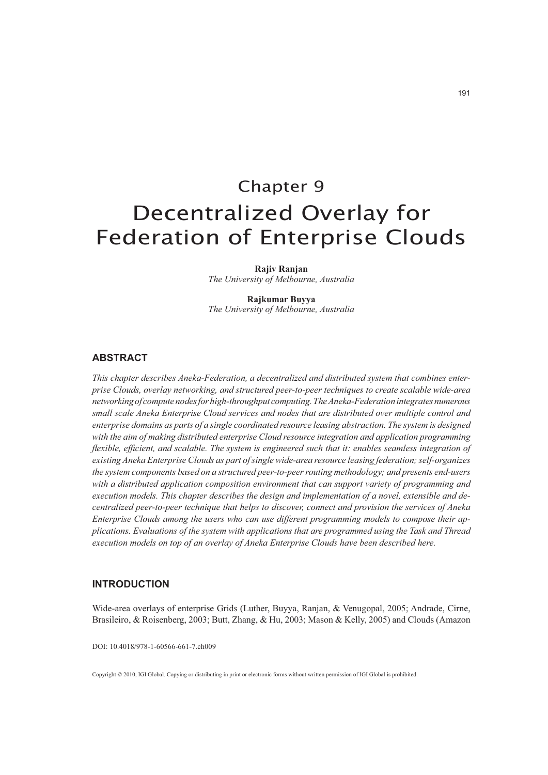**Rajiv Ranjan** *The University of Melbourne, Australia*

**Rajkumar Buyya** *The University of Melbourne, Australia*

# **ABSTRACT**

*This chapter describes Aneka-Federation, a decentralized and distributed system that combines enterprise Clouds, overlay networking, and structured peer-to-peer techniques to create scalable wide-area networking of compute nodes for high-throughput computing. The Aneka-Federation integrates numerous small scale Aneka Enterprise Cloud services and nodes that are distributed over multiple control and enterprise domains as parts of a single coordinated resource leasing abstraction. The system is designed with the aim of making distributed enterprise Cloud resource integration and application programming flexible, efficient, and scalable. The system is engineered such that it: enables seamless integration of existing Aneka Enterprise Clouds as part of single wide-area resource leasing federation; self-organizes the system components based on a structured peer-to-peer routing methodology; and presents end-users with a distributed application composition environment that can support variety of programming and execution models. This chapter describes the design and implementation of a novel, extensible and decentralized peer-to-peer technique that helps to discover, connect and provision the services of Aneka Enterprise Clouds among the users who can use different programming models to compose their applications. Evaluations of the system with applications that are programmed using the Task and Thread execution models on top of an overlay of Aneka Enterprise Clouds have been described here.*

## **INTRODUCTION**

Wide-area overlays of enterprise Grids (Luther, Buyya, Ranjan, & Venugopal, 2005; Andrade, Cirne, Brasileiro, & Roisenberg, 2003; Butt, Zhang, & Hu, 2003; Mason & Kelly, 2005) and Clouds (Amazon

DOI: 10.4018/978-1-60566-661-7.ch009

Copyright © 2010, IGI Global. Copying or distributing in print or electronic forms without written permission of IGI Global is prohibited.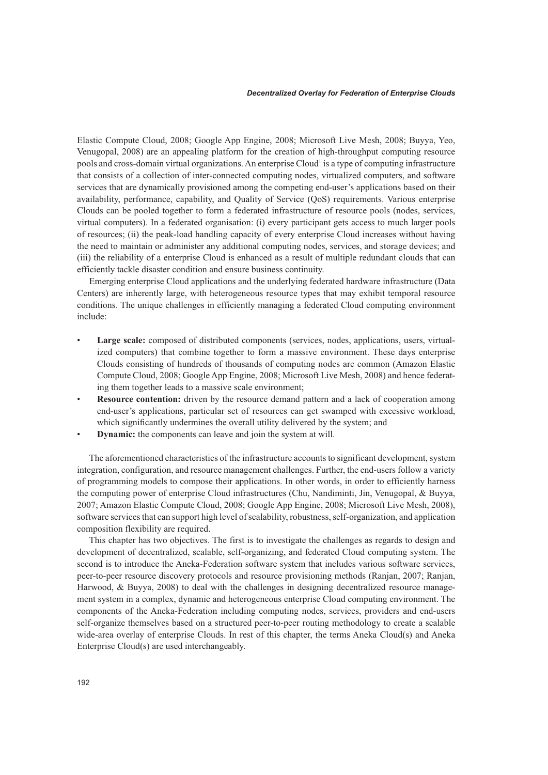Elastic Compute Cloud, 2008; Google App Engine, 2008; Microsoft Live Mesh, 2008; Buyya, Yeo, Venugopal, 2008) are an appealing platform for the creation of high-throughput computing resource pools and cross-domain virtual organizations. An enterprise Cloud<sup>1</sup> is a type of computing infrastructure that consists of a collection of inter-connected computing nodes, virtualized computers, and software services that are dynamically provisioned among the competing end-user's applications based on their availability, performance, capability, and Quality of Service (QoS) requirements. Various enterprise Clouds can be pooled together to form a federated infrastructure of resource pools (nodes, services, virtual computers). In a federated organisation: (i) every participant gets access to much larger pools of resources; (ii) the peak-load handling capacity of every enterprise Cloud increases without having the need to maintain or administer any additional computing nodes, services, and storage devices; and (iii) the reliability of a enterprise Cloud is enhanced as a result of multiple redundant clouds that can efficiently tackle disaster condition and ensure business continuity.

Emerging enterprise Cloud applications and the underlying federated hardware infrastructure (Data Centers) are inherently large, with heterogeneous resource types that may exhibit temporal resource conditions. The unique challenges in efficiently managing a federated Cloud computing environment include:

- **Large scale:** composed of distributed components (services, nodes, applications, users, virtualized computers) that combine together to form a massive environment. These days enterprise Clouds consisting of hundreds of thousands of computing nodes are common (Amazon Elastic Compute Cloud, 2008; Google App Engine, 2008; Microsoft Live Mesh, 2008) and hence federating them together leads to a massive scale environment;
- **Resource contention:** driven by the resource demand pattern and a lack of cooperation among end-user's applications, particular set of resources can get swamped with excessive workload, which significantly undermines the overall utility delivered by the system; and
- **Dynamic:** the components can leave and join the system at will.

The aforementioned characteristics of the infrastructure accounts to significant development, system integration, configuration, and resource management challenges. Further, the end-users follow a variety of programming models to compose their applications. In other words, in order to efficiently harness the computing power of enterprise Cloud infrastructures (Chu, Nandiminti, Jin, Venugopal, & Buyya, 2007; Amazon Elastic Compute Cloud, 2008; Google App Engine, 2008; Microsoft Live Mesh, 2008), software services that can support high level of scalability, robustness, self-organization, and application composition flexibility are required.

This chapter has two objectives. The first is to investigate the challenges as regards to design and development of decentralized, scalable, self-organizing, and federated Cloud computing system. The second is to introduce the Aneka-Federation software system that includes various software services, peer-to-peer resource discovery protocols and resource provisioning methods (Ranjan, 2007; Ranjan, Harwood, & Buyya, 2008) to deal with the challenges in designing decentralized resource management system in a complex, dynamic and heterogeneous enterprise Cloud computing environment. The components of the Aneka-Federation including computing nodes, services, providers and end-users self-organize themselves based on a structured peer-to-peer routing methodology to create a scalable wide-area overlay of enterprise Clouds. In rest of this chapter, the terms Aneka Cloud(s) and Aneka Enterprise Cloud(s) are used interchangeably.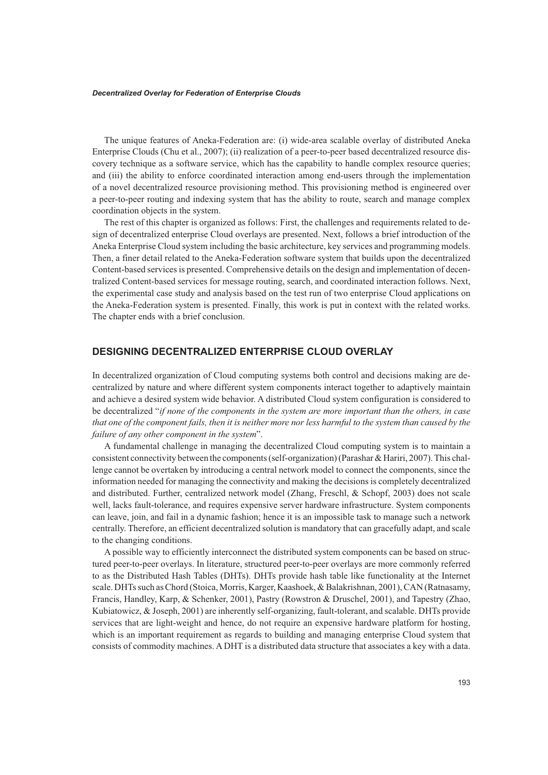The unique features of Aneka-Federation are: (i) wide-area scalable overlay of distributed Aneka Enterprise Clouds (Chu et al., 2007); (ii) realization of a peer-to-peer based decentralized resource discovery technique as a software service, which has the capability to handle complex resource queries; and (iii) the ability to enforce coordinated interaction among end-users through the implementation of a novel decentralized resource provisioning method. This provisioning method is engineered over a peer-to-peer routing and indexing system that has the ability to route, search and manage complex coordination objects in the system.

The rest of this chapter is organized as follows: First, the challenges and requirements related to design of decentralized enterprise Cloud overlays are presented. Next, follows a brief introduction of the Aneka Enterprise Cloud system including the basic architecture, key services and programming models. Then, a finer detail related to the Aneka-Federation software system that builds upon the decentralized Content-based services is presented. Comprehensive details on the design and implementation of decentralized Content-based services for message routing, search, and coordinated interaction follows. Next, the experimental case study and analysis based on the test run of two enterprise Cloud applications on the Aneka-Federation system is presented. Finally, this work is put in context with the related works. The chapter ends with a brief conclusion.

## **DESIGNING DECENTRALIZED ENTERPRISE CLOUD OVERLAY**

In decentralized organization of Cloud computing systems both control and decisions making are decentralized by nature and where different system components interact together to adaptively maintain and achieve a desired system wide behavior. A distributed Cloud system configuration is considered to be decentralized "*if none of the components in the system are more important than the others, in case that one of the component fails, then it is neither more nor less harmful to the system than caused by the failure of any other component in the system*".

A fundamental challenge in managing the decentralized Cloud computing system is to maintain a consistent connectivity between the components (self-organization) (Parashar & Hariri, 2007). This challenge cannot be overtaken by introducing a central network model to connect the components, since the information needed for managing the connectivity and making the decisions is completely decentralized and distributed. Further, centralized network model (Zhang, Freschl, & Schopf, 2003) does not scale well, lacks fault-tolerance, and requires expensive server hardware infrastructure. System components can leave, join, and fail in a dynamic fashion; hence it is an impossible task to manage such a network centrally. Therefore, an efficient decentralized solution is mandatory that can gracefully adapt, and scale to the changing conditions.

A possible way to efficiently interconnect the distributed system components can be based on structured peer-to-peer overlays. In literature, structured peer-to-peer overlays are more commonly referred to as the Distributed Hash Tables (DHTs). DHTs provide hash table like functionality at the Internet scale. DHTs such as Chord (Stoica, Morris, Karger, Kaashoek, & Balakrishnan, 2001), CAN (Ratnasamy, Francis, Handley, Karp, & Schenker, 2001), Pastry (Rowstron & Druschel, 2001), and Tapestry (Zhao, Kubiatowicz, & Joseph, 2001) are inherently self-organizing, fault-tolerant, and scalable. DHTs provide services that are light-weight and hence, do not require an expensive hardware platform for hosting, which is an important requirement as regards to building and managing enterprise Cloud system that consists of commodity machines. A DHT is a distributed data structure that associates a key with a data.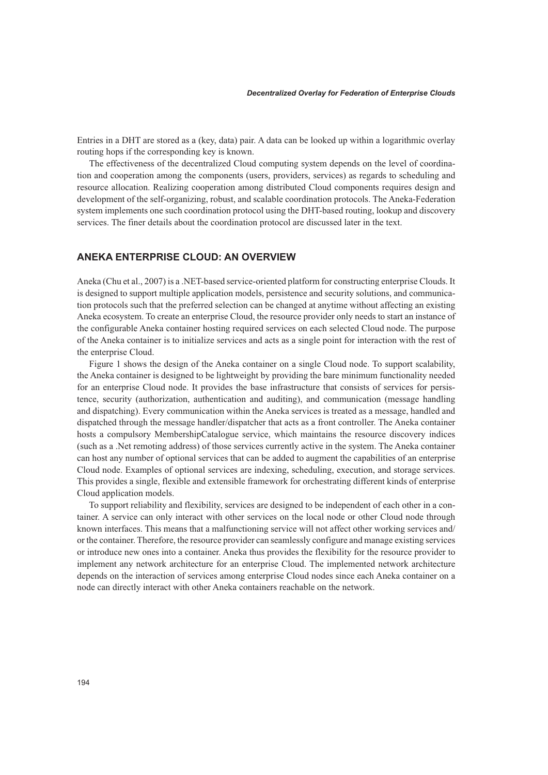Entries in a DHT are stored as a (key, data) pair. A data can be looked up within a logarithmic overlay routing hops if the corresponding key is known.

The effectiveness of the decentralized Cloud computing system depends on the level of coordination and cooperation among the components (users, providers, services) as regards to scheduling and resource allocation. Realizing cooperation among distributed Cloud components requires design and development of the self-organizing, robust, and scalable coordination protocols. The Aneka-Federation system implements one such coordination protocol using the DHT-based routing, lookup and discovery services. The finer details about the coordination protocol are discussed later in the text.

# **ANEKA ENTERPRISE CLOUD: AN OVERVIEW**

Aneka (Chu et al., 2007) is a .NET-based service-oriented platform for constructing enterprise Clouds. It is designed to support multiple application models, persistence and security solutions, and communication protocols such that the preferred selection can be changed at anytime without affecting an existing Aneka ecosystem. To create an enterprise Cloud, the resource provider only needs to start an instance of the configurable Aneka container hosting required services on each selected Cloud node. The purpose of the Aneka container is to initialize services and acts as a single point for interaction with the rest of the enterprise Cloud.

Figure 1 shows the design of the Aneka container on a single Cloud node. To support scalability, the Aneka container is designed to be lightweight by providing the bare minimum functionality needed for an enterprise Cloud node. It provides the base infrastructure that consists of services for persistence, security (authorization, authentication and auditing), and communication (message handling and dispatching). Every communication within the Aneka services is treated as a message, handled and dispatched through the message handler/dispatcher that acts as a front controller. The Aneka container hosts a compulsory MembershipCatalogue service, which maintains the resource discovery indices (such as a .Net remoting address) of those services currently active in the system. The Aneka container can host any number of optional services that can be added to augment the capabilities of an enterprise Cloud node. Examples of optional services are indexing, scheduling, execution, and storage services. This provides a single, flexible and extensible framework for orchestrating different kinds of enterprise Cloud application models.

To support reliability and flexibility, services are designed to be independent of each other in a container. A service can only interact with other services on the local node or other Cloud node through known interfaces. This means that a malfunctioning service will not affect other working services and/ or the container. Therefore, the resource provider can seamlessly configure and manage existing services or introduce new ones into a container. Aneka thus provides the flexibility for the resource provider to implement any network architecture for an enterprise Cloud. The implemented network architecture depends on the interaction of services among enterprise Cloud nodes since each Aneka container on a node can directly interact with other Aneka containers reachable on the network.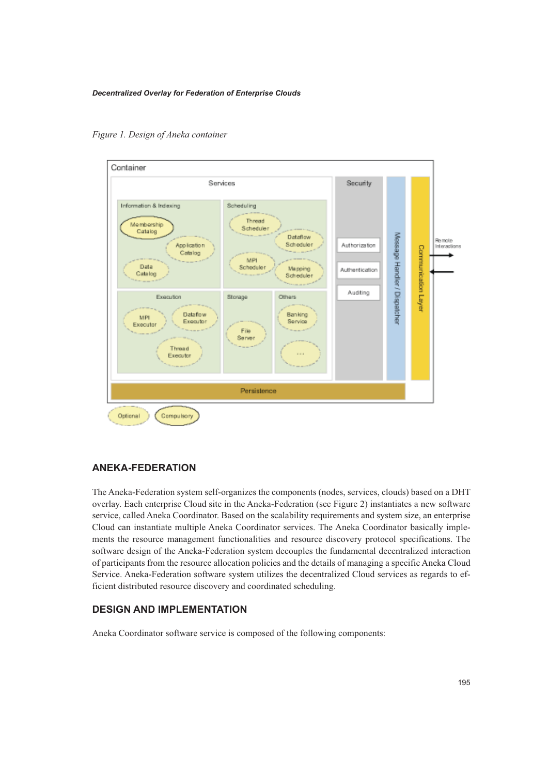



## **ANEKA-FEDERATION**

The Aneka-Federation system self-organizes the components (nodes, services, clouds) based on a DHT overlay. Each enterprise Cloud site in the Aneka-Federation (see Figure 2) instantiates a new software service, called Aneka Coordinator. Based on the scalability requirements and system size, an enterprise Cloud can instantiate multiple Aneka Coordinator services. The Aneka Coordinator basically implements the resource management functionalities and resource discovery protocol specifications. The software design of the Aneka-Federation system decouples the fundamental decentralized interaction of participants from the resource allocation policies and the details of managing a specific Aneka Cloud Service. Aneka-Federation software system utilizes the decentralized Cloud services as regards to efficient distributed resource discovery and coordinated scheduling.

## **DESIGN AND IMPLEMENTATION**

Aneka Coordinator software service is composed of the following components: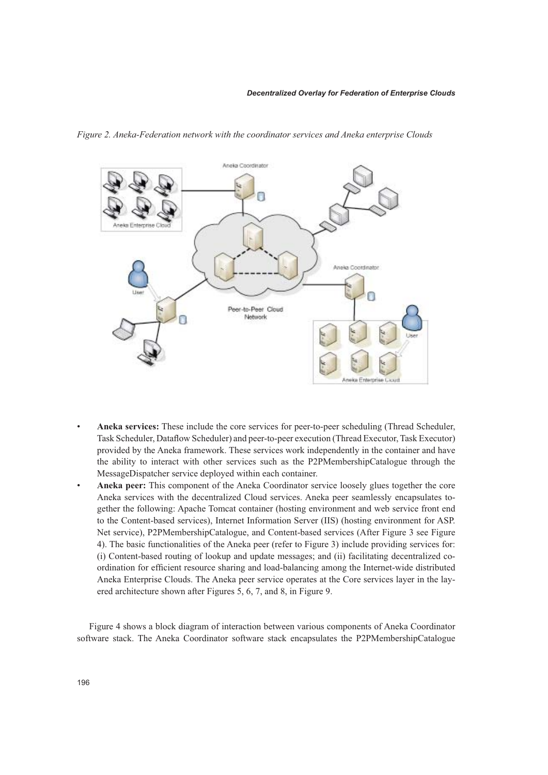

*Figure 2. Aneka-Federation network with the coordinator services and Aneka enterprise Clouds*

- **Aneka services:** These include the core services for peer-to-peer scheduling (Thread Scheduler, Task Scheduler, Dataflow Scheduler) and peer-to-peer execution (Thread Executor, Task Executor) provided by the Aneka framework. These services work independently in the container and have the ability to interact with other services such as the P2PMembershipCatalogue through the MessageDispatcher service deployed within each container.
- **Aneka peer:** This component of the Aneka Coordinator service loosely glues together the core Aneka services with the decentralized Cloud services. Aneka peer seamlessly encapsulates together the following: Apache Tomcat container (hosting environment and web service front end to the Content-based services), Internet Information Server (IIS) (hosting environment for ASP. Net service), P2PMembershipCatalogue, and Content-based services (After Figure 3 see Figure 4). The basic functionalities of the Aneka peer (refer to Figure 3) include providing services for: (i) Content-based routing of lookup and update messages; and (ii) facilitating decentralized coordination for efficient resource sharing and load-balancing among the Internet-wide distributed Aneka Enterprise Clouds. The Aneka peer service operates at the Core services layer in the layered architecture shown after Figures 5, 6, 7, and 8, in Figure 9.

Figure 4 shows a block diagram of interaction between various components of Aneka Coordinator software stack. The Aneka Coordinator software stack encapsulates the P2PMembershipCatalogue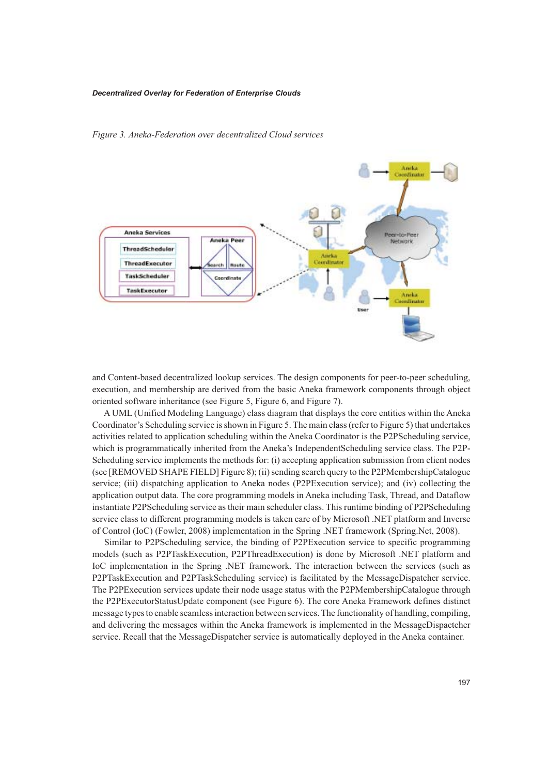

*Figure 3. Aneka-Federation over decentralized Cloud services*

and Content-based decentralized lookup services. The design components for peer-to-peer scheduling, execution, and membership are derived from the basic Aneka framework components through object oriented software inheritance (see Figure 5, Figure 6, and Figure 7).

A UML (Unified Modeling Language) class diagram that displays the core entities within the Aneka Coordinator's Scheduling service is shown in Figure 5. The main class (refer to Figure 5) that undertakes activities related to application scheduling within the Aneka Coordinator is the P2PScheduling service, which is programmatically inherited from the Aneka's IndependentScheduling service class. The P2P-Scheduling service implements the methods for: (i) accepting application submission from client nodes (see [REMOVED SHAPE FIELD] Figure 8); (ii) sending search query to the P2PMembershipCatalogue service; (iii) dispatching application to Aneka nodes (P2PExecution service); and (iv) collecting the application output data. The core programming models in Aneka including Task, Thread, and Dataflow instantiate P2PScheduling service as their main scheduler class. This runtime binding of P2PScheduling service class to different programming models is taken care of by Microsoft .NET platform and Inverse of Control (IoC) (Fowler, 2008) implementation in the Spring .NET framework (Spring.Net, 2008).

Similar to P2PScheduling service, the binding of P2PExecution service to specific programming models (such as P2PTaskExecution, P2PThreadExecution) is done by Microsoft .NET platform and IoC implementation in the Spring .NET framework. The interaction between the services (such as P2PTaskExecution and P2PTaskScheduling service) is facilitated by the MessageDispatcher service. The P2PExecution services update their node usage status with the P2PMembershipCatalogue through the P2PExecutorStatusUpdate component (see Figure 6). The core Aneka Framework defines distinct message types to enable seamless interaction between services. The functionality of handling, compiling, and delivering the messages within the Aneka framework is implemented in the MessageDispactcher service. Recall that the MessageDispatcher service is automatically deployed in the Aneka container.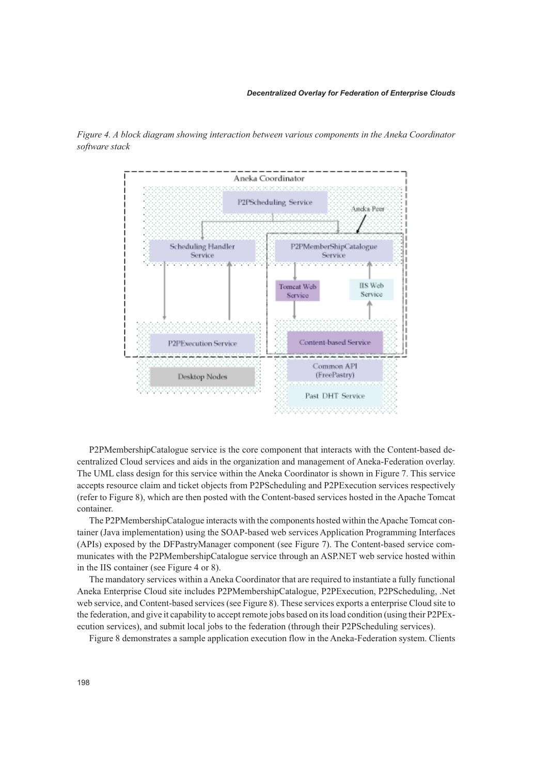

*Figure 4. A block diagram showing interaction between various components in the Aneka Coordinator software stack*

P2PMembershipCatalogue service is the core component that interacts with the Content-based decentralized Cloud services and aids in the organization and management of Aneka-Federation overlay. The UML class design for this service within the Aneka Coordinator is shown in Figure 7. This service accepts resource claim and ticket objects from P2PScheduling and P2PExecution services respectively (refer to Figure 8), which are then posted with the Content-based services hosted in the Apache Tomcat container.

The P2PMembershipCatalogue interacts with the components hosted within the Apache Tomcat container (Java implementation) using the SOAP-based web services Application Programming Interfaces (APIs) exposed by the DFPastryManager component (see Figure 7). The Content-based service communicates with the P2PMembershipCatalogue service through an ASP.NET web service hosted within in the IIS container (see Figure 4 or 8).

The mandatory services within a Aneka Coordinator that are required to instantiate a fully functional Aneka Enterprise Cloud site includes P2PMembershipCatalogue, P2PExecution, P2PScheduling, .Net web service, and Content-based services (see Figure 8). These services exports a enterprise Cloud site to the federation, and give it capability to accept remote jobs based on its load condition (using their P2PExecution services), and submit local jobs to the federation (through their P2PScheduling services).

Figure 8 demonstrates a sample application execution flow in the Aneka-Federation system. Clients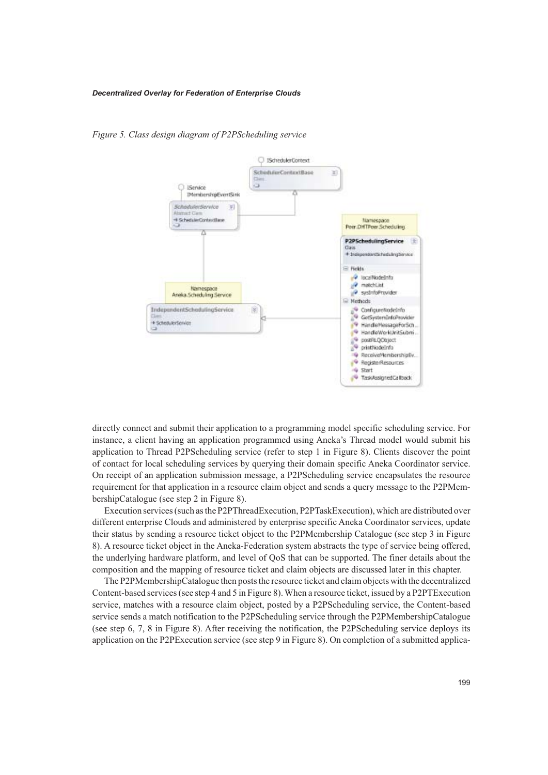

*Figure 5. Class design diagram of P2PScheduling service*

directly connect and submit their application to a programming model specific scheduling service. For instance, a client having an application programmed using Aneka's Thread model would submit his application to Thread P2PScheduling service (refer to step 1 in Figure 8). Clients discover the point of contact for local scheduling services by querying their domain specific Aneka Coordinator service. On receipt of an application submission message, a P2PScheduling service encapsulates the resource requirement for that application in a resource claim object and sends a query message to the P2PMembershipCatalogue (see step 2 in Figure 8).

Execution services (such as the P2PThreadExecution, P2PTaskExecution), which are distributed over different enterprise Clouds and administered by enterprise specific Aneka Coordinator services, update their status by sending a resource ticket object to the P2PMembership Catalogue (see step 3 in Figure 8). A resource ticket object in the Aneka-Federation system abstracts the type of service being offered, the underlying hardware platform, and level of QoS that can be supported. The finer details about the composition and the mapping of resource ticket and claim objects are discussed later in this chapter.

The P2PMembershipCatalogue then posts the resource ticket and claim objects with the decentralized Content-based services (see step 4 and 5 in Figure 8). When a resource ticket, issued by a P2PTExecution service, matches with a resource claim object, posted by a P2PScheduling service, the Content-based service sends a match notification to the P2PScheduling service through the P2PMembershipCatalogue (see step 6, 7, 8 in Figure 8). After receiving the notification, the P2PScheduling service deploys its application on the P2PExecution service (see step 9 in Figure 8). On completion of a submitted applica-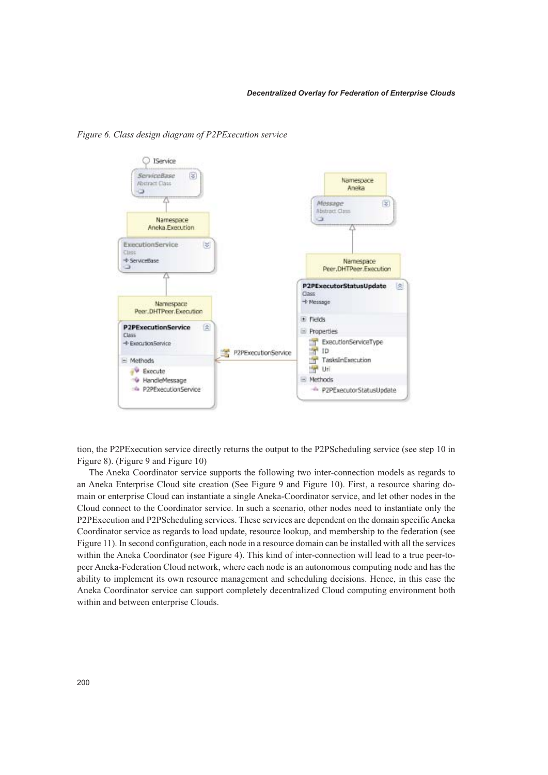

*Figure 6. Class design diagram of P2PExecution service*

tion, the P2PExecution service directly returns the output to the P2PScheduling service (see step 10 in Figure 8). (Figure 9 and Figure 10)

The Aneka Coordinator service supports the following two inter-connection models as regards to an Aneka Enterprise Cloud site creation (See Figure 9 and Figure 10). First, a resource sharing domain or enterprise Cloud can instantiate a single Aneka-Coordinator service, and let other nodes in the Cloud connect to the Coordinator service. In such a scenario, other nodes need to instantiate only the P2PExecution and P2PScheduling services. These services are dependent on the domain specific Aneka Coordinator service as regards to load update, resource lookup, and membership to the federation (see Figure 11). In second configuration, each node in a resource domain can be installed with all the services within the Aneka Coordinator (see Figure 4). This kind of inter-connection will lead to a true peer-topeer Aneka-Federation Cloud network, where each node is an autonomous computing node and has the ability to implement its own resource management and scheduling decisions. Hence, in this case the Aneka Coordinator service can support completely decentralized Cloud computing environment both within and between enterprise Clouds.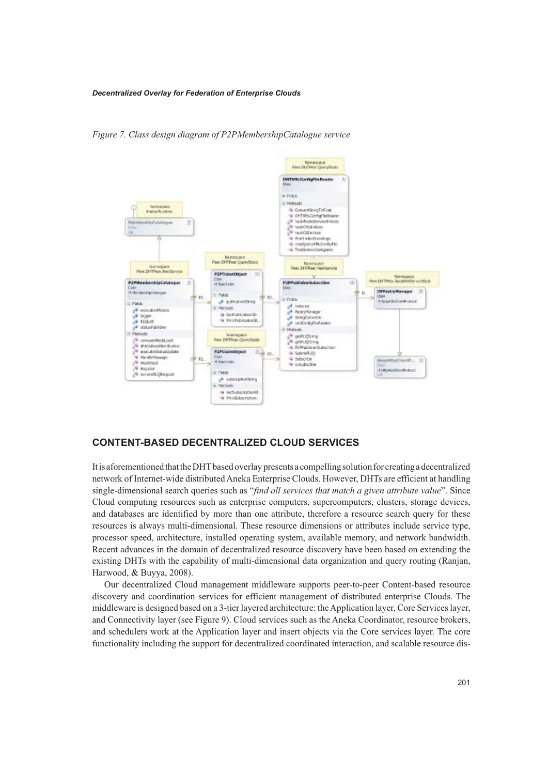

*Figure 7. Class design diagram of P2PMembershipCatalogue service*

## **CONTENT-BASED DECENTRALIZED CLOUD SERVICES**

It is aforementioned that the DHT based overlay presents a compelling solution for creating a decentralized network of Internet-wide distributed Aneka Enterprise Clouds. However, DHTs are efficient at handling single-dimensional search queries such as "*find all services that match a given attribute value*". Since Cloud computing resources such as enterprise computers, supercomputers, clusters, storage devices, and databases are identified by more than one attribute, therefore a resource search query for these resources is always multi-dimensional. These resource dimensions or attributes include service type, processor speed, architecture, installed operating system, available memory, and network bandwidth. Recent advances in the domain of decentralized resource discovery have been based on extending the existing DHTs with the capability of multi-dimensional data organization and query routing (Ranjan, Harwood, & Buyya, 2008).

Our decentralized Cloud management middleware supports peer-to-peer Content-based resource discovery and coordination services for efficient management of distributed enterprise Clouds. The middleware is designed based on a 3-tier layered architecture: the Application layer, Core Services layer, and Connectivity layer (see Figure 9). Cloud services such as the Aneka Coordinator, resource brokers, and schedulers work at the Application layer and insert objects via the Core services layer. The core functionality including the support for decentralized coordinated interaction, and scalable resource dis-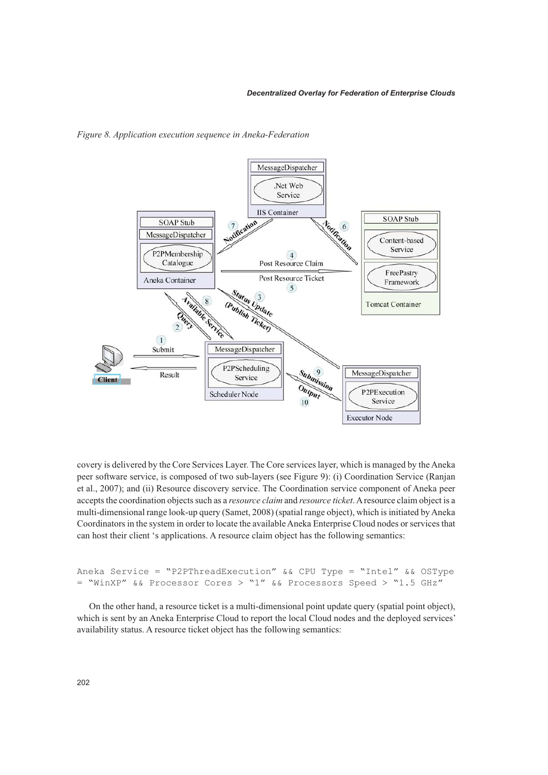

*Figure 8. Application execution sequence in Aneka-Federation*

covery is delivered by the Core Services Layer. The Core services layer, which is managed by the Aneka peer software service, is composed of two sub-layers (see Figure 9): (i) Coordination Service (Ranjan et al., 2007); and (ii) Resource discovery service. The Coordination service component of Aneka peer accepts the coordination objects such as a *resource claim* and *resource ticket*. A resource claim object is a multi-dimensional range look-up query (Samet, 2008) (spatial range object), which is initiated by Aneka Coordinators in the system in order to locate the available Aneka Enterprise Cloud nodes or services that can host their client 's applications. A resource claim object has the following semantics:

```
Aneka Service = "P2PThreadExecution" && CPU Type = "Intel" && OSType 
= "WinXP" && Processor Cores > "1" && Processors Speed > "1.5 GHz"
```
On the other hand, a resource ticket is a multi-dimensional point update query (spatial point object), which is sent by an Aneka Enterprise Cloud to report the local Cloud nodes and the deployed services' availability status. A resource ticket object has the following semantics: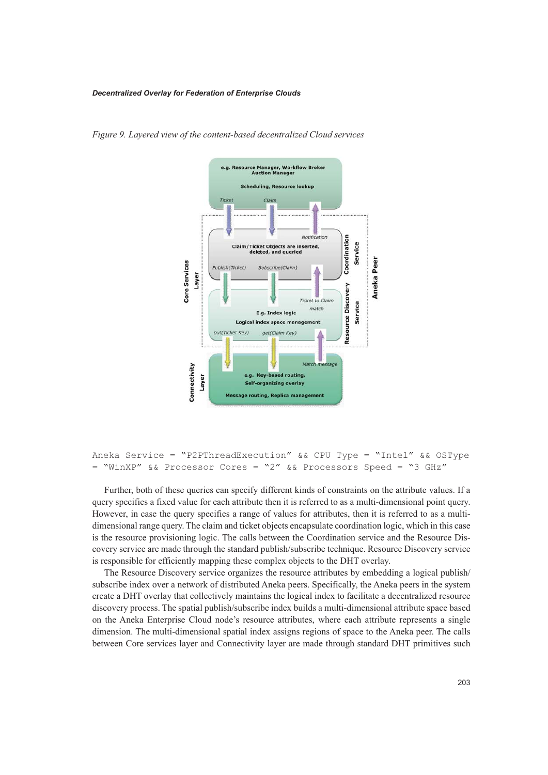

*Figure 9. Layered view of the content-based decentralized Cloud services*

## Aneka Service = "P2PThreadExecution" && CPU Type = "Intel" && OSType  $=$  "WinXP" && Processor Cores = "2" && Processors Speed = "3 GHz"

Further, both of these queries can specify different kinds of constraints on the attribute values. If a query specifies a fixed value for each attribute then it is referred to as a multi-dimensional point query. However, in case the query specifies a range of values for attributes, then it is referred to as a multidimensional range query. The claim and ticket objects encapsulate coordination logic, which in this case is the resource provisioning logic. The calls between the Coordination service and the Resource Discovery service are made through the standard publish/subscribe technique. Resource Discovery service is responsible for efficiently mapping these complex objects to the DHT overlay.

The Resource Discovery service organizes the resource attributes by embedding a logical publish/ subscribe index over a network of distributed Aneka peers. Specifically, the Aneka peers in the system create a DHT overlay that collectively maintains the logical index to facilitate a decentralized resource discovery process. The spatial publish/subscribe index builds a multi-dimensional attribute space based on the Aneka Enterprise Cloud node's resource attributes, where each attribute represents a single dimension. The multi-dimensional spatial index assigns regions of space to the Aneka peer. The calls between Core services layer and Connectivity layer are made through standard DHT primitives such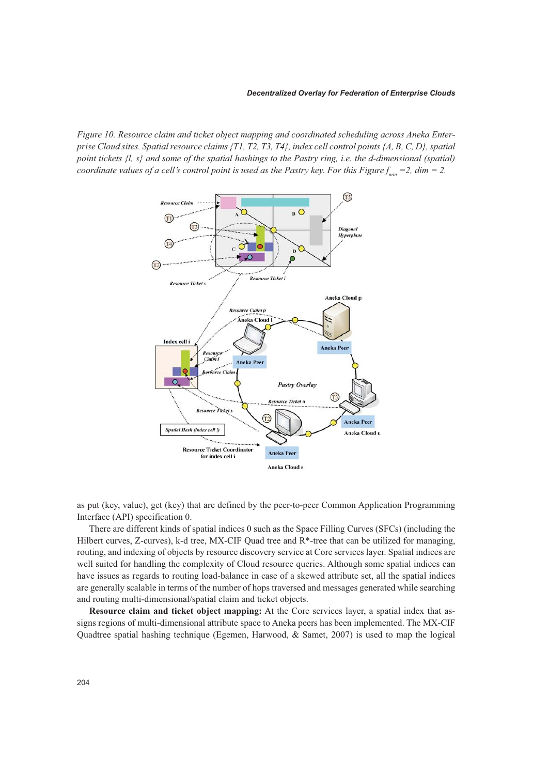*Figure 10. Resource claim and ticket object mapping and coordinated scheduling across Aneka Enterprise Cloud sites. Spatial resource claims {T1, T2, T3, T4}, index cell control points {A, B, C, D}, spatial point tickets {l, s} and some of the spatial hashings to the Pastry ring, i.e. the d-dimensional (spatial) coordinate values of a cell's control point is used as the Pastry key. For this Figure*  $f_{min} = 2$ *, dim = 2.* 



as put (key, value), get (key) that are defined by the peer-to-peer Common Application Programming Interface (API) specification 0.

There are different kinds of spatial indices 0 such as the Space Filling Curves (SFCs) (including the Hilbert curves, Z-curves), k-d tree, MX-CIF Quad tree and R\*-tree that can be utilized for managing, routing, and indexing of objects by resource discovery service at Core services layer. Spatial indices are well suited for handling the complexity of Cloud resource queries. Although some spatial indices can have issues as regards to routing load-balance in case of a skewed attribute set, all the spatial indices are generally scalable in terms of the number of hops traversed and messages generated while searching and routing multi-dimensional/spatial claim and ticket objects.

**Resource claim and ticket object mapping:** At the Core services layer, a spatial index that assigns regions of multi-dimensional attribute space to Aneka peers has been implemented. The MX-CIF Quadtree spatial hashing technique (Egemen, Harwood, & Samet, 2007) is used to map the logical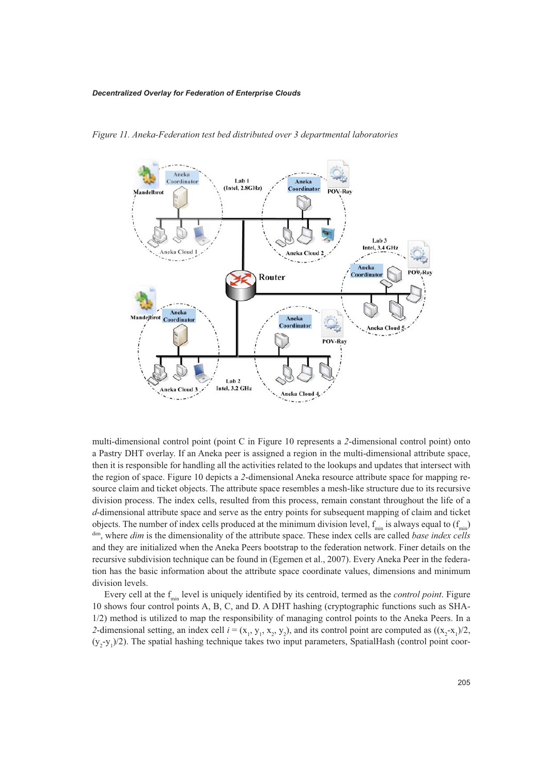

*Figure 11. Aneka-Federation test bed distributed over 3 departmental laboratories*

multi-dimensional control point (point C in Figure 10 represents a *2*-dimensional control point) onto a Pastry DHT overlay. If an Aneka peer is assigned a region in the multi-dimensional attribute space, then it is responsible for handling all the activities related to the lookups and updates that intersect with the region of space. Figure 10 depicts a *2*-dimensional Aneka resource attribute space for mapping resource claim and ticket objects. The attribute space resembles a mesh-like structure due to its recursive division process. The index cells, resulted from this process, remain constant throughout the life of a *d*-dimensional attribute space and serve as the entry points for subsequent mapping of claim and ticket objects. The number of index cells produced at the minimum division level,  $f_{min}$  is always equal to  $(f_{min})$ dim, where *dim* is the dimensionality of the attribute space. These index cells are called *base index cells* and they are initialized when the Aneka Peers bootstrap to the federation network. Finer details on the recursive subdivision technique can be found in (Egemen et al., 2007). Every Aneka Peer in the federation has the basic information about the attribute space coordinate values, dimensions and minimum division levels.

Every cell at the f<sub>min</sub> level is uniquely identified by its centroid, termed as the *control point*. Figure 10 shows four control points A, B, C, and D. A DHT hashing (cryptographic functions such as SHA-1/2) method is utilized to map the responsibility of managing control points to the Aneka Peers. In a 2-dimensional setting, an index cell  $i = (x_1, y_1, x_2, y_2)$ , and its control point are computed as  $((x_2-x_1)/2)$ ,  $(y_2-y_1)/2$ ). The spatial hashing technique takes two input parameters, SpatialHash (control point coor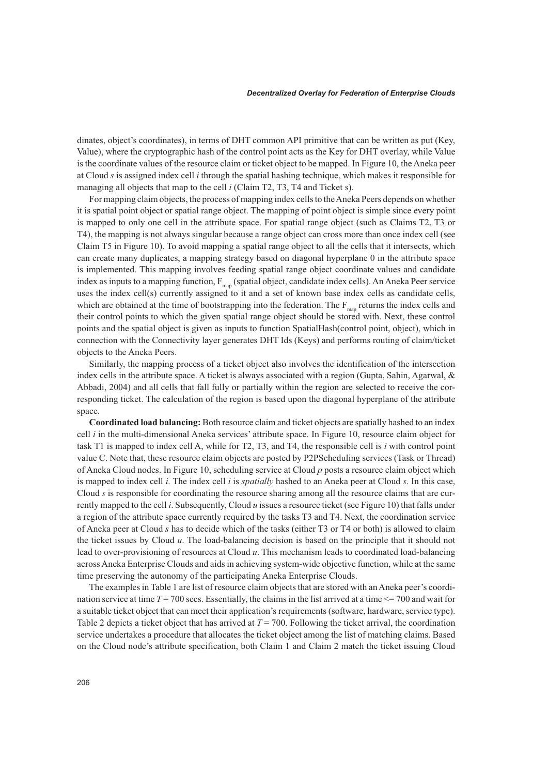dinates, object's coordinates), in terms of DHT common API primitive that can be written as put (Key, Value), where the cryptographic hash of the control point acts as the Key for DHT overlay, while Value is the coordinate values of the resource claim or ticket object to be mapped. In Figure 10, the Aneka peer at Cloud *s* is assigned index cell *i* through the spatial hashing technique, which makes it responsible for managing all objects that map to the cell *i* (Claim T2, T3, T4 and Ticket s).

For mapping claim objects, the process of mapping index cells to the Aneka Peers depends on whether it is spatial point object or spatial range object. The mapping of point object is simple since every point is mapped to only one cell in the attribute space. For spatial range object (such as Claims T2, T3 or T4), the mapping is not always singular because a range object can cross more than once index cell (see Claim T5 in Figure 10). To avoid mapping a spatial range object to all the cells that it intersects, which can create many duplicates, a mapping strategy based on diagonal hyperplane 0 in the attribute space is implemented. This mapping involves feeding spatial range object coordinate values and candidate index as inputs to a mapping function,  $F_{map}$  (spatial object, candidate index cells). An Aneka Peer service uses the index cell(s) currently assigned to it and a set of known base index cells as candidate cells, which are obtained at the time of bootstrapping into the federation. The  $F_{\text{map}}$  returns the index cells and their control points to which the given spatial range object should be stored with. Next, these control points and the spatial object is given as inputs to function SpatialHash(control point, object), which in connection with the Connectivity layer generates DHT Ids (Keys) and performs routing of claim/ticket objects to the Aneka Peers.

Similarly, the mapping process of a ticket object also involves the identification of the intersection index cells in the attribute space. A ticket is always associated with a region (Gupta, Sahin, Agarwal, & Abbadi, 2004) and all cells that fall fully or partially within the region are selected to receive the corresponding ticket. The calculation of the region is based upon the diagonal hyperplane of the attribute space.

**Coordinated load balancing:** Both resource claim and ticket objects are spatially hashed to an index cell *i* in the multi-dimensional Aneka services' attribute space. In Figure 10, resource claim object for task T1 is mapped to index cell A, while for T2, T3, and T4, the responsible cell is *i* with control point value C. Note that, these resource claim objects are posted by P2PScheduling services (Task or Thread) of Aneka Cloud nodes. In Figure 10, scheduling service at Cloud *p* posts a resource claim object which is mapped to index cell *i*. The index cell *i* is *spatially* hashed to an Aneka peer at Cloud *s*. In this case, Cloud *s* is responsible for coordinating the resource sharing among all the resource claims that are currently mapped to the cell *i*. Subsequently, Cloud *u* issues a resource ticket (see Figure 10) that falls under a region of the attribute space currently required by the tasks T3 and T4. Next, the coordination service of Aneka peer at Cloud *s* has to decide which of the tasks (either T3 or T4 or both) is allowed to claim the ticket issues by Cloud *u*. The load-balancing decision is based on the principle that it should not lead to over-provisioning of resources at Cloud *u*. This mechanism leads to coordinated load-balancing across Aneka Enterprise Clouds and aids in achieving system-wide objective function, while at the same time preserving the autonomy of the participating Aneka Enterprise Clouds.

The examples in Table 1 are list of resource claim objects that are stored with an Aneka peer's coordination service at time *T* = 700 secs. Essentially, the claims in the list arrived at a time <= 700 and wait for a suitable ticket object that can meet their application's requirements (software, hardware, service type). Table 2 depicts a ticket object that has arrived at  $T = 700$ . Following the ticket arrival, the coordination service undertakes a procedure that allocates the ticket object among the list of matching claims. Based on the Cloud node's attribute specification, both Claim 1 and Claim 2 match the ticket issuing Cloud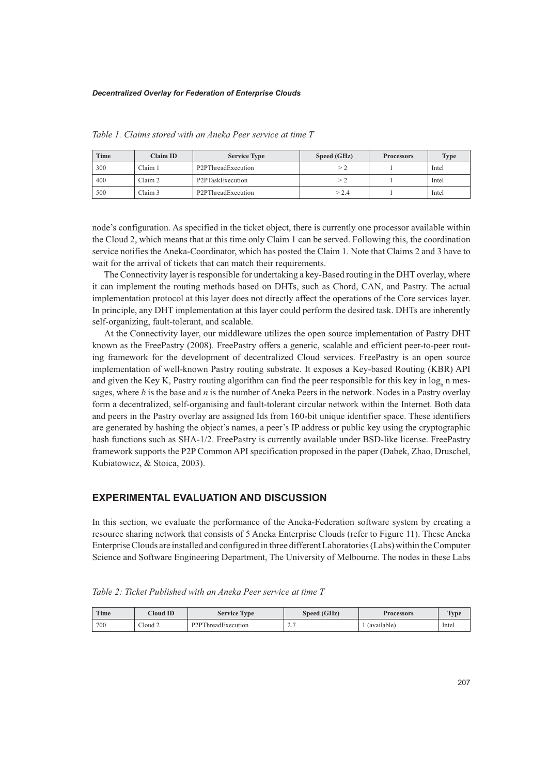| Time | Claim ID | <b>Service Type</b> | Speed (GHz) | <b>Processors</b> | <b>Type</b> |
|------|----------|---------------------|-------------|-------------------|-------------|
| 300  | Claim 1  | P2PThreadExecution  | >2          |                   | Intel       |
| 400  | Claim 2  | P2PTaskExecution    | >2          |                   | Intel       |
| 500  | Claim 3  | P2PThreadExecution  | > 2.4       |                   | Intel       |

*Table 1. Claims stored with an Aneka Peer service at time T*

node's configuration. As specified in the ticket object, there is currently one processor available within the Cloud 2, which means that at this time only Claim 1 can be served. Following this, the coordination service notifies the Aneka-Coordinator, which has posted the Claim 1. Note that Claims 2 and 3 have to wait for the arrival of tickets that can match their requirements.

The Connectivity layer is responsible for undertaking a key-Based routing in the DHT overlay, where it can implement the routing methods based on DHTs, such as Chord, CAN, and Pastry. The actual implementation protocol at this layer does not directly affect the operations of the Core services layer. In principle, any DHT implementation at this layer could perform the desired task. DHTs are inherently self-organizing, fault-tolerant, and scalable.

At the Connectivity layer, our middleware utilizes the open source implementation of Pastry DHT known as the FreePastry (2008). FreePastry offers a generic, scalable and efficient peer-to-peer routing framework for the development of decentralized Cloud services. FreePastry is an open source implementation of well-known Pastry routing substrate. It exposes a Key-based Routing (KBR) API and given the Key K, Pastry routing algorithm can find the peer responsible for this key in  $log_b n$  messages, where *b* is the base and *n* is the number of Aneka Peers in the network. Nodes in a Pastry overlay form a decentralized, self-organising and fault-tolerant circular network within the Internet. Both data and peers in the Pastry overlay are assigned Ids from 160-bit unique identifier space. These identifiers are generated by hashing the object's names, a peer's IP address or public key using the cryptographic hash functions such as SHA-1/2. FreePastry is currently available under BSD-like license. FreePastry framework supports the P2P Common API specification proposed in the paper (Dabek, Zhao, Druschel, Kubiatowicz, & Stoica, 2003).

# **EXPERIMENTAL EVALUATION AND DISCUSSION**

In this section, we evaluate the performance of the Aneka-Federation software system by creating a resource sharing network that consists of 5 Aneka Enterprise Clouds (refer to Figure 11). These Aneka Enterprise Clouds are installed and configured in three different Laboratories (Labs) within the Computer Science and Software Engineering Department, The University of Melbourne. The nodes in these Labs

|  | Table 2: Ticket Published with an Aneka Peer service at time T |  |  |  |
|--|----------------------------------------------------------------|--|--|--|
|  |                                                                |  |  |  |

| <b>Time</b> | $C$ loud ID | <b>Service Type</b> | Speed (GHz) | <b>Processors</b> | <b>Type</b> |
|-------------|-------------|---------------------|-------------|-------------------|-------------|
| 700         | Cloud 2     | P2PThreadExecution  | <u>.</u>    | (available)       | Intel       |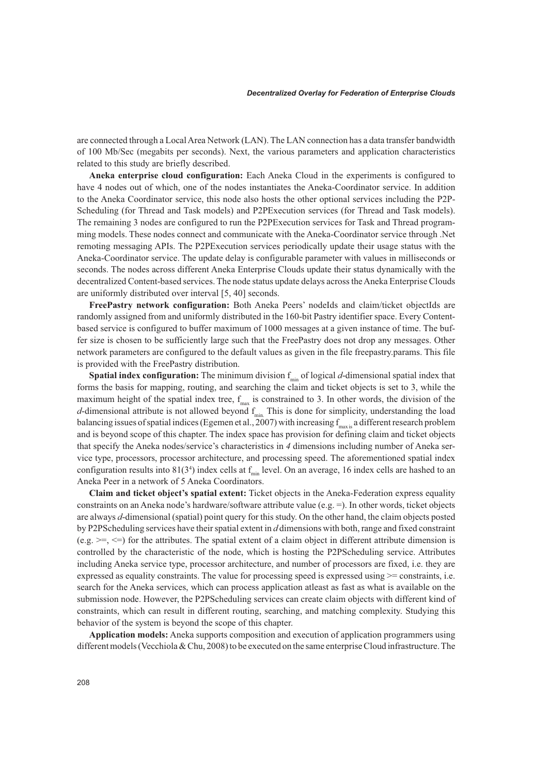are connected through a Local Area Network (LAN). The LAN connection has a data transfer bandwidth of 100 Mb/Sec (megabits per seconds). Next, the various parameters and application characteristics related to this study are briefly described.

**Aneka enterprise cloud configuration:** Each Aneka Cloud in the experiments is configured to have 4 nodes out of which, one of the nodes instantiates the Aneka-Coordinator service. In addition to the Aneka Coordinator service, this node also hosts the other optional services including the P2P-Scheduling (for Thread and Task models) and P2PExecution services (for Thread and Task models). The remaining 3 nodes are configured to run the P2PExecution services for Task and Thread programming models. These nodes connect and communicate with the Aneka-Coordinator service through .Net remoting messaging APIs. The P2PExecution services periodically update their usage status with the Aneka-Coordinator service. The update delay is configurable parameter with values in milliseconds or seconds. The nodes across different Aneka Enterprise Clouds update their status dynamically with the decentralized Content-based services. The node status update delays across the Aneka Enterprise Clouds are uniformly distributed over interval [5, 40] seconds.

**FreePastry network configuration:** Both Aneka Peers' nodeIds and claim/ticket objectIds are randomly assigned from and uniformly distributed in the 160-bit Pastry identifier space. Every Contentbased service is configured to buffer maximum of 1000 messages at a given instance of time. The buffer size is chosen to be sufficiently large such that the FreePastry does not drop any messages. Other network parameters are configured to the default values as given in the file freepastry.params. This file is provided with the FreePastry distribution.

**Spatial index configuration:** The minimum division  $f_{\min}$  of logical  $d$ -dimensional spatial index that forms the basis for mapping, routing, and searching the claim and ticket objects is set to 3, while the maximum height of the spatial index tree,  $f_{\text{max}}$  is constrained to 3. In other words, the division of the *d*-dimensional attribute is not allowed beyond  $f_{\min}$ . This is done for simplicity, understanding the load balancing issues of spatial indices (Egemen et al., 2007) with increasing  $f_{\text{max is}}$  a different research problem and is beyond scope of this chapter. The index space has provision for defining claim and ticket objects that specify the Aneka nodes/service's characteristics in *4* dimensions including number of Aneka service type, processors, processor architecture, and processing speed. The aforementioned spatial index configuration results into  $81(3^4)$  index cells at  $f_{\text{min}}$  level. On an average, 16 index cells are hashed to an Aneka Peer in a network of 5 Aneka Coordinators.

**Claim and ticket object's spatial extent:** Ticket objects in the Aneka-Federation express equality constraints on an Aneka node's hardware/software attribute value (e.g. =). In other words, ticket objects are always *d*-dimensional (spatial) point query for this study. On the other hand, the claim objects posted by P2PScheduling services have their spatial extent in *d* dimensions with both, range and fixed constraint (e.g.  $>=$ ,  $<=$ ) for the attributes. The spatial extent of a claim object in different attribute dimension is controlled by the characteristic of the node, which is hosting the P2PScheduling service. Attributes including Aneka service type, processor architecture, and number of processors are fixed, i.e. they are expressed as equality constraints. The value for processing speed is expressed using >= constraints, i.e. search for the Aneka services, which can process application atleast as fast as what is available on the submission node. However, the P2PScheduling services can create claim objects with different kind of constraints, which can result in different routing, searching, and matching complexity. Studying this behavior of the system is beyond the scope of this chapter.

**Application models:** Aneka supports composition and execution of application programmers using different models (Vecchiola & Chu, 2008) to be executed on the same enterprise Cloud infrastructure. The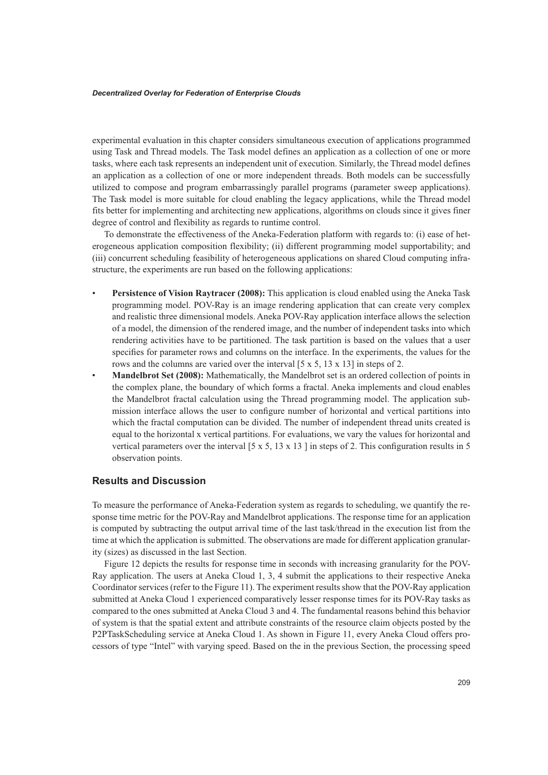experimental evaluation in this chapter considers simultaneous execution of applications programmed using Task and Thread models. The Task model defines an application as a collection of one or more tasks, where each task represents an independent unit of execution. Similarly, the Thread model defines an application as a collection of one or more independent threads. Both models can be successfully utilized to compose and program embarrassingly parallel programs (parameter sweep applications). The Task model is more suitable for cloud enabling the legacy applications, while the Thread model fits better for implementing and architecting new applications, algorithms on clouds since it gives finer degree of control and flexibility as regards to runtime control.

To demonstrate the effectiveness of the Aneka-Federation platform with regards to: (i) ease of heterogeneous application composition flexibility; (ii) different programming model supportability; and (iii) concurrent scheduling feasibility of heterogeneous applications on shared Cloud computing infrastructure, the experiments are run based on the following applications:

- **Persistence of Vision Raytracer (2008):** This application is cloud enabled using the Aneka Task programming model. POV-Ray is an image rendering application that can create very complex and realistic three dimensional models. Aneka POV-Ray application interface allows the selection of a model, the dimension of the rendered image, and the number of independent tasks into which rendering activities have to be partitioned. The task partition is based on the values that a user specifies for parameter rows and columns on the interface. In the experiments, the values for the rows and the columns are varied over the interval [5 x 5, 13 x 13] in steps of 2.
- **Mandelbrot Set (2008):** Mathematically, the Mandelbrot set is an ordered collection of points in the complex plane, the boundary of which forms a fractal. Aneka implements and cloud enables the Mandelbrot fractal calculation using the Thread programming model. The application submission interface allows the user to configure number of horizontal and vertical partitions into which the fractal computation can be divided. The number of independent thread units created is equal to the horizontal x vertical partitions. For evaluations, we vary the values for horizontal and vertical parameters over the interval  $[5 \times 5, 13 \times 13]$  in steps of 2. This configuration results in 5 observation points.

## **Results and Discussion**

To measure the performance of Aneka-Federation system as regards to scheduling, we quantify the response time metric for the POV-Ray and Mandelbrot applications. The response time for an application is computed by subtracting the output arrival time of the last task/thread in the execution list from the time at which the application is submitted. The observations are made for different application granularity (sizes) as discussed in the last Section.

Figure 12 depicts the results for response time in seconds with increasing granularity for the POV-Ray application. The users at Aneka Cloud 1, 3, 4 submit the applications to their respective Aneka Coordinator services (refer to the Figure 11). The experiment results show that the POV-Ray application submitted at Aneka Cloud 1 experienced comparatively lesser response times for its POV-Ray tasks as compared to the ones submitted at Aneka Cloud 3 and 4. The fundamental reasons behind this behavior of system is that the spatial extent and attribute constraints of the resource claim objects posted by the P2PTaskScheduling service at Aneka Cloud 1. As shown in Figure 11, every Aneka Cloud offers processors of type "Intel" with varying speed. Based on the in the previous Section, the processing speed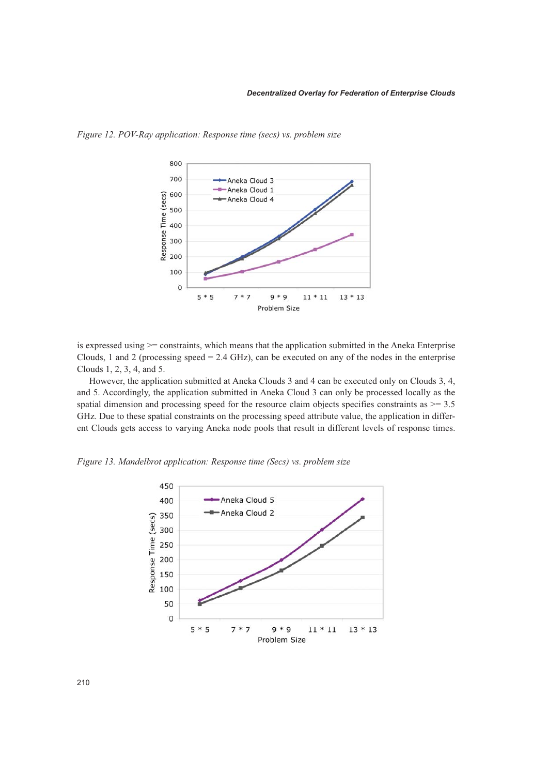

*Figure 12. POV-Ray application: Response time (secs) vs. problem size*

is expressed using  $\geq$  constraints, which means that the application submitted in the Aneka Enterprise Clouds, 1 and 2 (processing speed = 2.4 GHz), can be executed on any of the nodes in the enterprise Clouds 1, 2, 3, 4, and 5.

However, the application submitted at Aneka Clouds 3 and 4 can be executed only on Clouds 3, 4, and 5. Accordingly, the application submitted in Aneka Cloud 3 can only be processed locally as the spatial dimension and processing speed for the resource claim objects specifies constraints as  $\geq$  3.5 GHz. Due to these spatial constraints on the processing speed attribute value, the application in different Clouds gets access to varying Aneka node pools that result in different levels of response times.

*Figure 13. Mandelbrot application: Response time (Secs) vs. problem size*

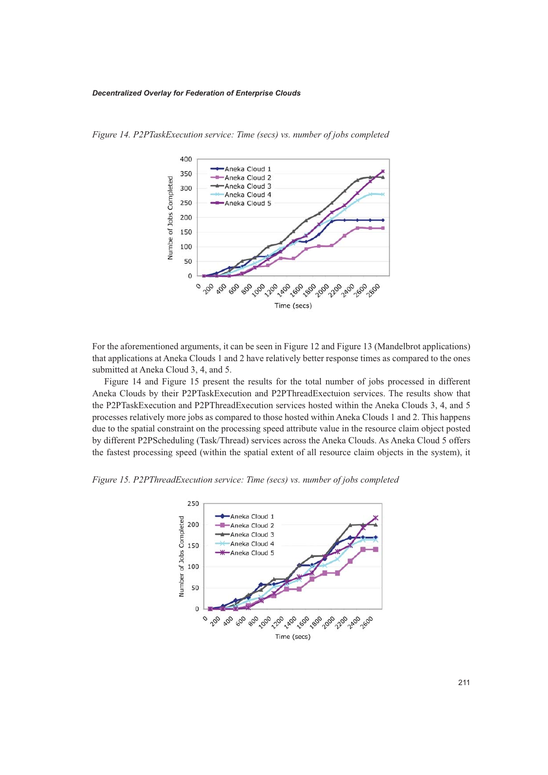

*Figure 14. P2PTaskExecution service: Time (secs) vs. number of jobs completed*

For the aforementioned arguments, it can be seen in Figure 12 and Figure 13 (Mandelbrot applications) that applications at Aneka Clouds 1 and 2 have relatively better response times as compared to the ones submitted at Aneka Cloud 3, 4, and 5.

Figure 14 and Figure 15 present the results for the total number of jobs processed in different Aneka Clouds by their P2PTaskExecution and P2PThreadExectuion services. The results show that the P2PTaskExecution and P2PThreadExecution services hosted within the Aneka Clouds 3, 4, and 5 processes relatively more jobs as compared to those hosted within Aneka Clouds 1 and 2. This happens due to the spatial constraint on the processing speed attribute value in the resource claim object posted by different P2PScheduling (Task/Thread) services across the Aneka Clouds. As Aneka Cloud 5 offers the fastest processing speed (within the spatial extent of all resource claim objects in the system), it

*Figure 15. P2PThreadExecution service: Time (secs) vs. number of jobs completed*

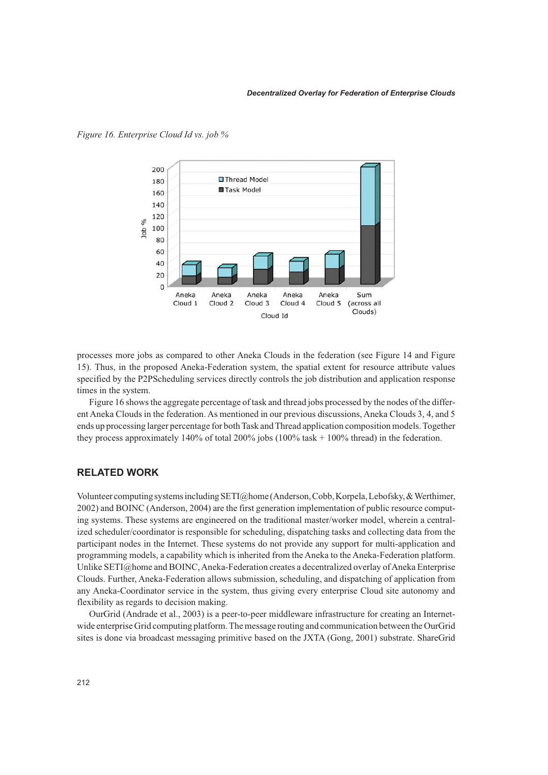

*Figure 16. Enterprise Cloud Id vs. job %*

processes more jobs as compared to other Aneka Clouds in the federation (see Figure 14 and Figure 15). Thus, in the proposed Aneka-Federation system, the spatial extent for resource attribute values specified by the P2PScheduling services directly controls the job distribution and application response times in the system.

Figure 16 shows the aggregate percentage of task and thread jobs processed by the nodes of the different Aneka Clouds in the federation. As mentioned in our previous discussions, Aneka Clouds 3, 4, and 5 ends up processing larger percentage for both Task and Thread application composition models. Together they process approximately 140% of total 200% jobs (100% task + 100% thread) in the federation.

# **RELATED WORK**

Volunteer computing systems including SETI@home (Anderson, Cobb, Korpela, Lebofsky, & Werthimer, 2002) and BOINC (Anderson, 2004) are the first generation implementation of public resource computing systems. These systems are engineered on the traditional master/worker model, wherein a centralized scheduler/coordinator is responsible for scheduling, dispatching tasks and collecting data from the participant nodes in the Internet. These systems do not provide any support for multi-application and programming models, a capability which is inherited from the Aneka to the Aneka-Federation platform. Unlike SETI@home and BOINC, Aneka-Federation creates a decentralized overlay of Aneka Enterprise Clouds. Further, Aneka-Federation allows submission, scheduling, and dispatching of application from any Aneka-Coordinator service in the system, thus giving every enterprise Cloud site autonomy and flexibility as regards to decision making.

OurGrid (Andrade et al., 2003) is a peer-to-peer middleware infrastructure for creating an Internetwide enterprise Grid computing platform. The message routing and communication between the OurGrid sites is done via broadcast messaging primitive based on the JXTA (Gong, 2001) substrate. ShareGrid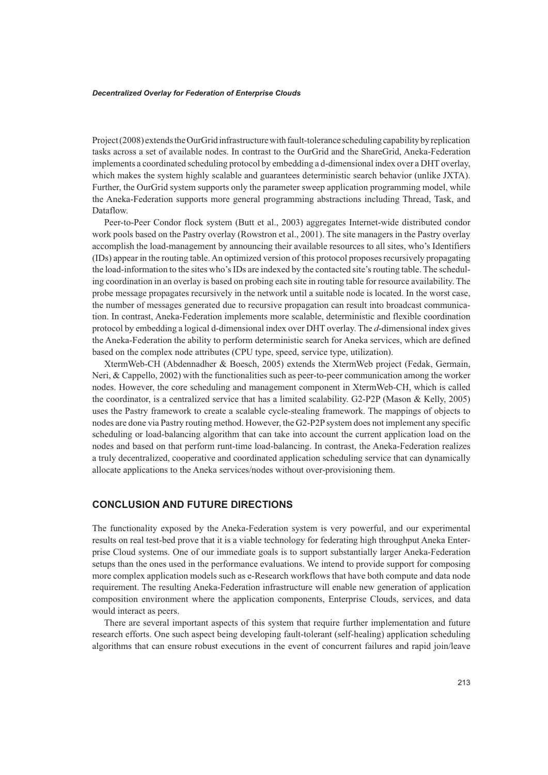Project (2008) extends the OurGrid infrastructure with fault-tolerance scheduling capability by replication tasks across a set of available nodes. In contrast to the OurGrid and the ShareGrid, Aneka-Federation implements a coordinated scheduling protocol by embedding a d-dimensional index over a DHT overlay, which makes the system highly scalable and guarantees deterministic search behavior (unlike JXTA). Further, the OurGrid system supports only the parameter sweep application programming model, while the Aneka-Federation supports more general programming abstractions including Thread, Task, and Dataflow.

Peer-to-Peer Condor flock system (Butt et al., 2003) aggregates Internet-wide distributed condor work pools based on the Pastry overlay (Rowstron et al., 2001). The site managers in the Pastry overlay accomplish the load-management by announcing their available resources to all sites, who's Identifiers (IDs) appear in the routing table. An optimized version of this protocol proposes recursively propagating the load-information to the sites who's IDs are indexed by the contacted site's routing table. The scheduling coordination in an overlay is based on probing each site in routing table for resource availability. The probe message propagates recursively in the network until a suitable node is located. In the worst case, the number of messages generated due to recursive propagation can result into broadcast communication. In contrast, Aneka-Federation implements more scalable, deterministic and flexible coordination protocol by embedding a logical d-dimensional index over DHT overlay. The *d*-dimensional index gives the Aneka-Federation the ability to perform deterministic search for Aneka services, which are defined based on the complex node attributes (CPU type, speed, service type, utilization).

XtermWeb-CH (Abdennadher & Boesch, 2005) extends the XtermWeb project (Fedak, Germain, Neri, & Cappello, 2002) with the functionalities such as peer-to-peer communication among the worker nodes. However, the core scheduling and management component in XtermWeb-CH, which is called the coordinator, is a centralized service that has a limited scalability. G2-P2P (Mason & Kelly, 2005) uses the Pastry framework to create a scalable cycle-stealing framework. The mappings of objects to nodes are done via Pastry routing method. However, the G2-P2P system does not implement any specific scheduling or load-balancing algorithm that can take into account the current application load on the nodes and based on that perform runt-time load-balancing. In contrast, the Aneka-Federation realizes a truly decentralized, cooperative and coordinated application scheduling service that can dynamically allocate applications to the Aneka services/nodes without over-provisioning them.

#### **CONCLUSION AND FUTURE DIRECTIONS**

The functionality exposed by the Aneka-Federation system is very powerful, and our experimental results on real test-bed prove that it is a viable technology for federating high throughput Aneka Enterprise Cloud systems. One of our immediate goals is to support substantially larger Aneka-Federation setups than the ones used in the performance evaluations. We intend to provide support for composing more complex application models such as e-Research workflows that have both compute and data node requirement. The resulting Aneka-Federation infrastructure will enable new generation of application composition environment where the application components, Enterprise Clouds, services, and data would interact as peers.

There are several important aspects of this system that require further implementation and future research efforts. One such aspect being developing fault-tolerant (self-healing) application scheduling algorithms that can ensure robust executions in the event of concurrent failures and rapid join/leave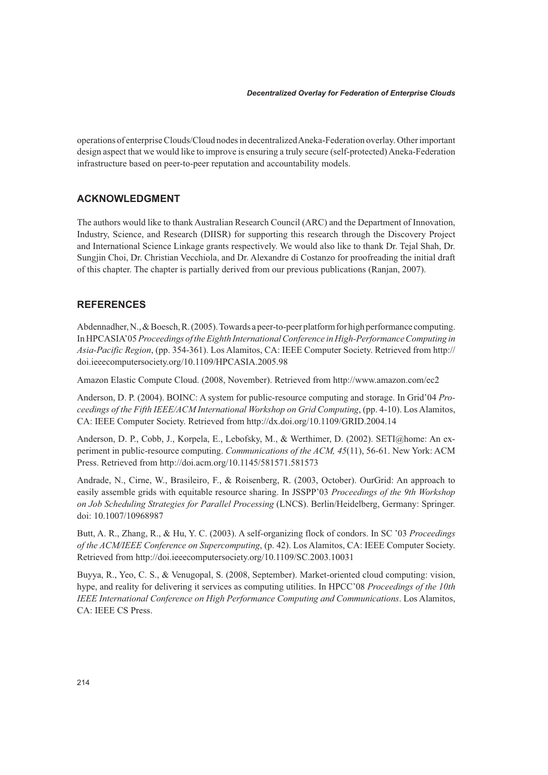operations of enterprise Clouds/Cloud nodes in decentralized Aneka-Federation overlay. Other important design aspect that we would like to improve is ensuring a truly secure (self-protected) Aneka-Federation infrastructure based on peer-to-peer reputation and accountability models.

# **ACKNOWLEDGMENT**

The authors would like to thank Australian Research Council (ARC) and the Department of Innovation, Industry, Science, and Research (DIISR) for supporting this research through the Discovery Project and International Science Linkage grants respectively. We would also like to thank Dr. Tejal Shah, Dr. Sungjin Choi, Dr. Christian Vecchiola, and Dr. Alexandre di Costanzo for proofreading the initial draft of this chapter. The chapter is partially derived from our previous publications (Ranjan, 2007).

## **REFERENCES**

Abdennadher, N., & Boesch, R. (2005). Towards a peer-to-peer platform for high performance computing. In HPCASIA'05 *Proceedings of the Eighth International Conference in High-Performance Computing in Asia-Pacific Region*, (pp. 354-361). Los Alamitos, CA: IEEE Computer Society. Retrieved from http:// doi.ieeecomputersociety.org/10.1109/HPCASIA.2005.98

Amazon Elastic Compute Cloud. (2008, November). Retrieved from http://www.amazon.com/ec2

Anderson, D. P. (2004). BOINC: A system for public-resource computing and storage. In Grid'04 *Proceedings of the Fifth IEEE/ACM International Workshop on Grid Computing*, (pp. 4-10). Los Alamitos, CA: IEEE Computer Society. Retrieved from http://dx.doi.org/10.1109/GRID.2004.14

Anderson, D. P., Cobb, J., Korpela, E., Lebofsky, M., & Werthimer, D. (2002). SETI@home: An experiment in public-resource computing. *Communications of the ACM, 45*(11), 56-61. New York: ACM Press. Retrieved from http://doi.acm.org/10.1145/581571.581573

Andrade, N., Cirne, W., Brasileiro, F., & Roisenberg, R. (2003, October). OurGrid: An approach to easily assemble grids with equitable resource sharing. In JSSPP'03 *Proceedings of the 9th Workshop on Job Scheduling Strategies for Parallel Processing* (LNCS). Berlin/Heidelberg, Germany: Springer. doi: 10.1007/10968987

Butt, A. R., Zhang, R., & Hu, Y. C. (2003). A self-organizing flock of condors. In SC '03 *Proceedings of the ACM/IEEE Conference on Supercomputing*, (p. 42). Los Alamitos, CA: IEEE Computer Society. Retrieved from http://doi.ieeecomputersociety.org/10.1109/SC.2003.10031

Buyya, R., Yeo, C. S., & Venugopal, S. (2008, September). Market-oriented cloud computing: vision, hype, and reality for delivering it services as computing utilities. In HPCC'08 *Proceedings of the 10th IEEE International Conference on High Performance Computing and Communications*. Los Alamitos, CA: IEEE CS Press.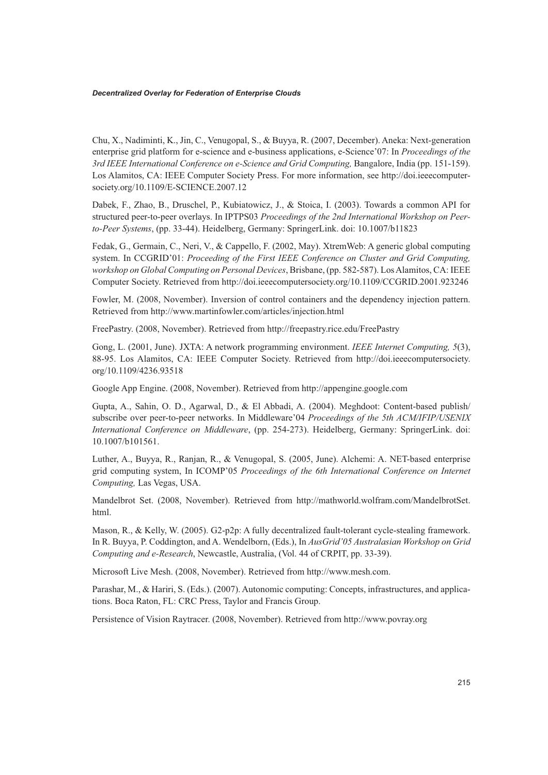Chu, X., Nadiminti, K., Jin, C., Venugopal, S., & Buyya, R. (2007, December). Aneka: Next-generation enterprise grid platform for e-science and e-business applications, e-Science'07: In *Proceedings of the 3rd IEEE International Conference on e-Science and Grid Computing,* Bangalore, India (pp. 151-159). Los Alamitos, CA: IEEE Computer Society Press. For more information, see http://doi.ieeecomputersociety.org/10.1109/E-SCIENCE.2007.12

Dabek, F., Zhao, B., Druschel, P., Kubiatowicz, J., & Stoica, I. (2003). Towards a common API for structured peer-to-peer overlays. In IPTPS03 *Proceedings of the 2nd International Workshop on Peerto-Peer Systems*, (pp. 33-44). Heidelberg, Germany: SpringerLink. doi: 10.1007/b11823

Fedak, G., Germain, C., Neri, V., & Cappello, F. (2002, May). XtremWeb: A generic global computing system. In CCGRID'01: *Proceeding of the First IEEE Conference on Cluster and Grid Computing, workshop on Global Computing on Personal Devices*, Brisbane, (pp. 582-587). Los Alamitos, CA: IEEE Computer Society. Retrieved from http://doi.ieeecomputersociety.org/10.1109/CCGRID.2001.923246

Fowler, M. (2008, November). Inversion of control containers and the dependency injection pattern. Retrieved from http://www.martinfowler.com/articles/injection.html

FreePastry. (2008, November). Retrieved from http://freepastry.rice.edu/FreePastry

Gong, L. (2001, June). JXTA: A network programming environment. *IEEE Internet Computing, 5*(3), 88-95. Los Alamitos, CA: IEEE Computer Society. Retrieved from http://doi.ieeecomputersociety. org/10.1109/4236.93518

Google App Engine. (2008, November). Retrieved from http://appengine.google.com

Gupta, A., Sahin, O. D., Agarwal, D., & El Abbadi, A. (2004). Meghdoot: Content-based publish/ subscribe over peer-to-peer networks. In Middleware'04 *Proceedings of the 5th ACM/IFIP/USENIX International Conference on Middleware*, (pp. 254-273). Heidelberg, Germany: SpringerLink. doi: 10.1007/b101561.

Luther, A., Buyya, R., Ranjan, R., & Venugopal, S. (2005, June). Alchemi: A. NET-based enterprise grid computing system, In ICOMP'05 *Proceedings of the 6th International Conference on Internet Computing,* Las Vegas, USA.

Mandelbrot Set. (2008, November). Retrieved from http://mathworld.wolfram.com/MandelbrotSet. html.

Mason, R., & Kelly, W. (2005). G2-p2p: A fully decentralized fault-tolerant cycle-stealing framework. In R. Buyya, P. Coddington, and A. Wendelborn, (Eds.), In *AusGrid'05 Australasian Workshop on Grid Computing and e-Research*, Newcastle, Australia, (Vol. 44 of CRPIT, pp. 33-39).

Microsoft Live Mesh. (2008, November). Retrieved from http://www.mesh.com.

Parashar, M., & Hariri, S. (Eds.). (2007). Autonomic computing: Concepts, infrastructures, and applications. Boca Raton, FL: CRC Press, Taylor and Francis Group.

Persistence of Vision Raytracer. (2008, November). Retrieved from http://www.povray.org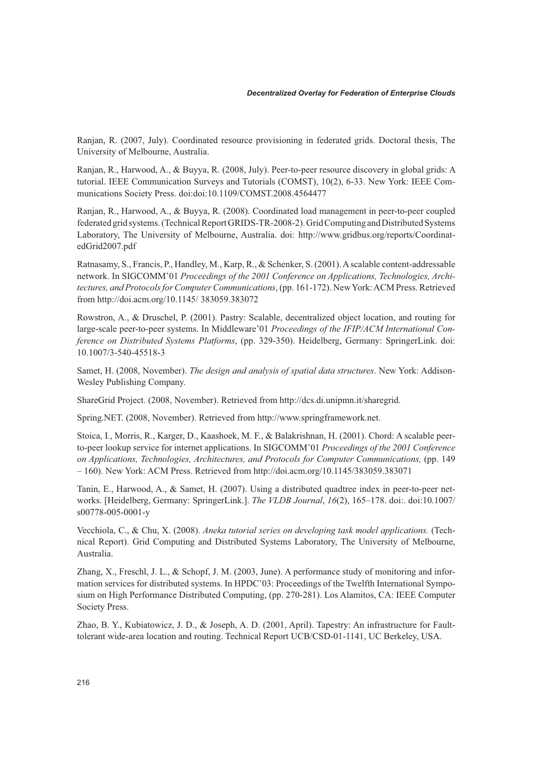Ranjan, R. (2007, July). Coordinated resource provisioning in federated grids. Doctoral thesis, The University of Melbourne, Australia.

Ranjan, R., Harwood, A., & Buyya, R. (2008, July). Peer-to-peer resource discovery in global grids: A tutorial. IEEE Communication Surveys and Tutorials (COMST), 10(2), 6-33. New York: IEEE Communications Society Press. doi:doi:10.1109/COMST.2008.4564477

Ranjan, R., Harwood, A., & Buyya, R. (2008). Coordinated load management in peer-to-peer coupled federated grid systems. (Technical Report GRIDS-TR-2008-2). Grid Computing and Distributed Systems Laboratory, The University of Melbourne, Australia. doi: http://www.gridbus.org/reports/CoordinatedGrid2007.pdf

Ratnasamy, S., Francis, P., Handley, M., Karp, R., & Schenker, S. (2001). A scalable content-addressable network. In SIGCOMM'01 *Proceedings of the 2001 Conference on Applications, Technologies, Architectures, and Protocols for Computer Communications*, (pp. 161-172). New York: ACM Press. Retrieved from http://doi.acm.org/10.1145/ 383059.383072

Rowstron, A., & Druschel, P. (2001). Pastry: Scalable, decentralized object location, and routing for large-scale peer-to-peer systems. In Middleware'01 *Proceedings of the IFIP/ACM International Conference on Distributed Systems Platforms*, (pp. 329-350). Heidelberg, Germany: SpringerLink. doi: 10.1007/3-540-45518-3

Samet, H. (2008, November). *The design and analysis of spatial data structures*. New York: Addison-Wesley Publishing Company.

ShareGrid Project. (2008, November). Retrieved from http://dcs.di.unipmn.it/sharegrid.

Spring.NET. (2008, November). Retrieved from http://www.springframework.net.

Stoica, I., Morris, R., Karger, D., Kaashoek, M. F., & Balakrishnan, H. (2001). Chord: A scalable peerto-peer lookup service for internet applications. In SIGCOMM'01 *Proceedings of the 2001 Conference on Applications, Technologies, Architectures, and Protocols for Computer Communications,* (pp. 149 – 160). New York: ACM Press. Retrieved from http://doi.acm.org/10.1145/383059.383071

Tanin, E., Harwood, A., & Samet, H. (2007). Using a distributed quadtree index in peer-to-peer networks. [Heidelberg, Germany: SpringerLink.]. *The VLDB Journal*, *16*(2), 165–178. doi:. doi:10.1007/ s00778-005-0001-y

Vecchiola, C., & Chu, X. (2008). *Aneka tutorial series on developing task model applications.* (Technical Report). Grid Computing and Distributed Systems Laboratory, The University of Melbourne, Australia.

Zhang, X., Freschl, J. L., & Schopf, J. M. (2003, June). A performance study of monitoring and information services for distributed systems. In HPDC'03: Proceedings of the Twelfth International Symposium on High Performance Distributed Computing, (pp. 270-281). Los Alamitos, CA: IEEE Computer Society Press.

Zhao, B. Y., Kubiatowicz, J. D., & Joseph, A. D. (2001, April). Tapestry: An infrastructure for Faulttolerant wide-area location and routing. Technical Report UCB/CSD-01-1141, UC Berkeley, USA.